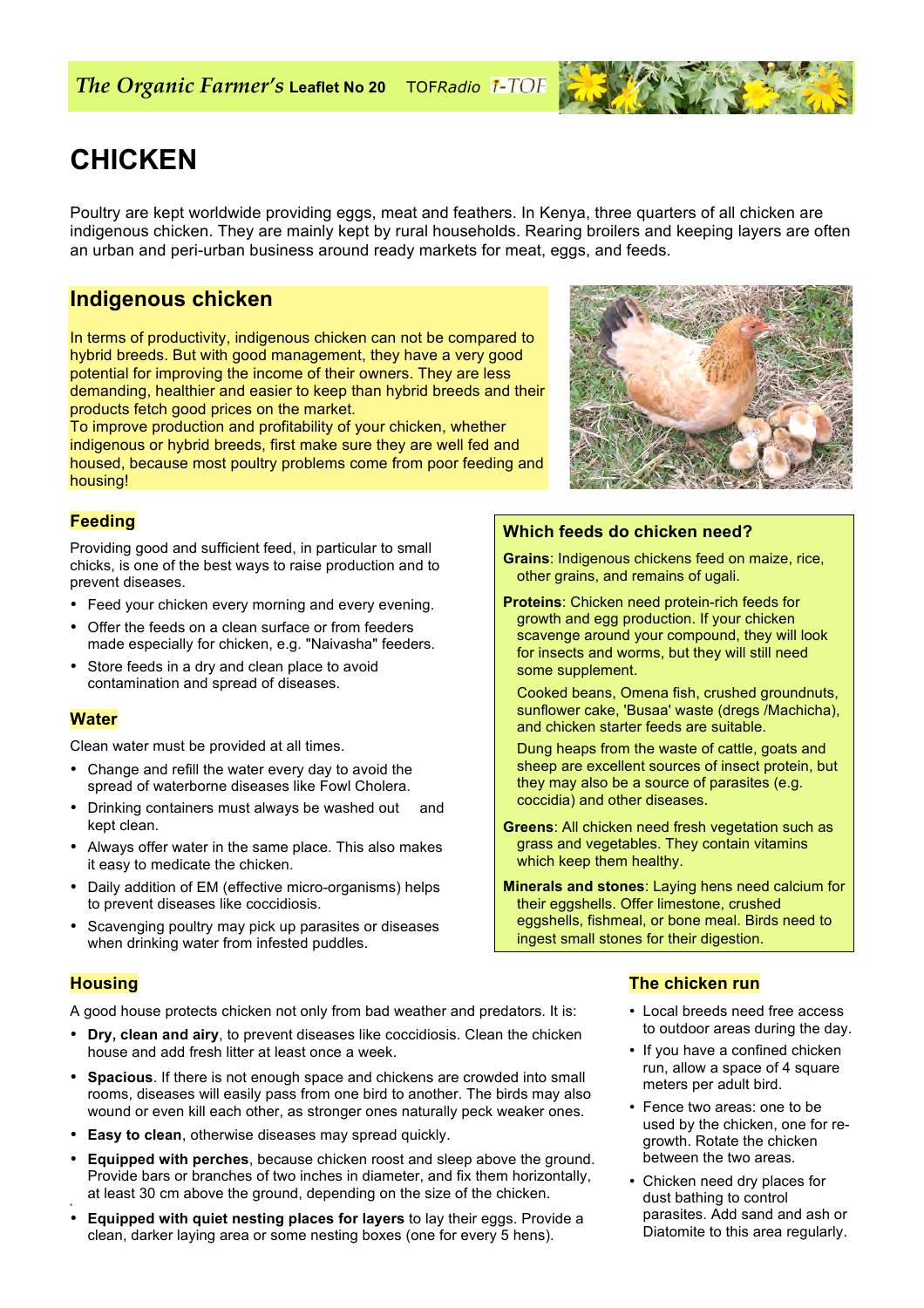# **CHICKEN**

Poultry are kept worldwide providing eggs, meat and feathers. In Kenya, three quarters of all chicken are indigenous chicken. They are mainly kept by rural households. Rearing broilers and keeping layers are often an urban and peri-urban business around ready markets for meat, eggs, and feeds.

### **Indigenous chicken**

In terms of productivity, indigenous chicken can not be compared to hybrid breeds. But with good management, they have a very good potential for improving the income of their owners. They are less demanding, healthier and easier to keep than hybrid breeds and their products fetch good prices on the market.

To improve production and profitability of your chicken, whether indigenous or hybrid breeds, first make sure they are well fed and housed, because most poultry problems come from poor feeding and housing!

#### **Feeding**

Providing good and sufficient feed, in particular to small chicks, is one of the best ways to raise production and to prevent diseases.

- Feed your chicken every morning and every evening.
- Offer the feeds on a clean surface or from feeders made especially for chicken, e.g. "Naivasha" feeders.
- Store feeds in a dry and clean place to avoid contamination and spread of diseases.

#### **Water**

Clean water must be provided at all times.

- Change and refill the water every day to avoid the spread of waterborne diseases like Fowl Cholera.
- Drinking containers must always be washed out and kept clean.
- Always offer water in the same place. This also makes it easy to medicate the chicken.
- Daily addition of EM (effective micro-organisms) helps to prevent diseases like coccidiosis.
- Scavenging poultry may pick up parasites or diseases when drinking water from infested puddles.

#### **Housing**

e

A good house protects chicken not only from bad weather and predators. It is:

- **Dry, clean and airy**, to prevent diseases like coccidiosis. Clean the chicken house and add fresh litter at least once a week.
- **Spacious**. If there is not enough space and chickens are crowded into small rooms, diseases will easily pass from one bird to another. The birds may also wound or even kill each other, as stronger ones naturally peck weaker ones.
- **Easy to clean**, otherwise diseases may spread quickly.
- **Equipped with perches**, because chicken roost and sleep above the ground. Provide bars or branches of two inches in diameter, and fix them horizontally, at least 30 cm above the ground, depending on the size of the chicken.
- **Equipped with quiet nesting places for layers** to lay their eggs. Provide a clean, darker laying area or some nesting boxes (one for every 5 hens).



#### **Which feeds do chicken need?**

**Grains**: Indigenous chickens feed on maize, rice, other grains, and remains of ugali.

- **Proteins**: Chicken need protein-rich feeds for growth and egg production. If your chicken scavenge around your compound, they will look for insects and worms, but they will still need some supplement.
	- Cooked beans, Omena fish, crushed groundnuts, sunflower cake, 'Busaa' waste (dregs /Machicha), and chicken starter feeds are suitable.

Dung heaps from the waste of cattle, goats and sheep are excellent sources of insect protein, but they may also be a source of parasites (e.g. coccidia) and other diseases.

- **Greens**: All chicken need fresh vegetation such as grass and vegetables. They contain vitamins which keep them healthy.
- **Minerals and stones**: Laying hens need calcium for their eggshells. Offer limestone, crushed eggshells, fishmeal, or bone meal. Birds need to ingest small stones for their digestion.

#### **The chicken run**

- Local breeds need free access to outdoor areas during the day.
- If you have a confined chicken run, allow a space of 4 square meters per adult bird.
- Fence two areas: one to be used by the chicken, one for regrowth. Rotate the chicken between the two areas.
- Chicken need dry places for dust bathing to control parasites. Add sand and ash or Diatomite to this area regularly.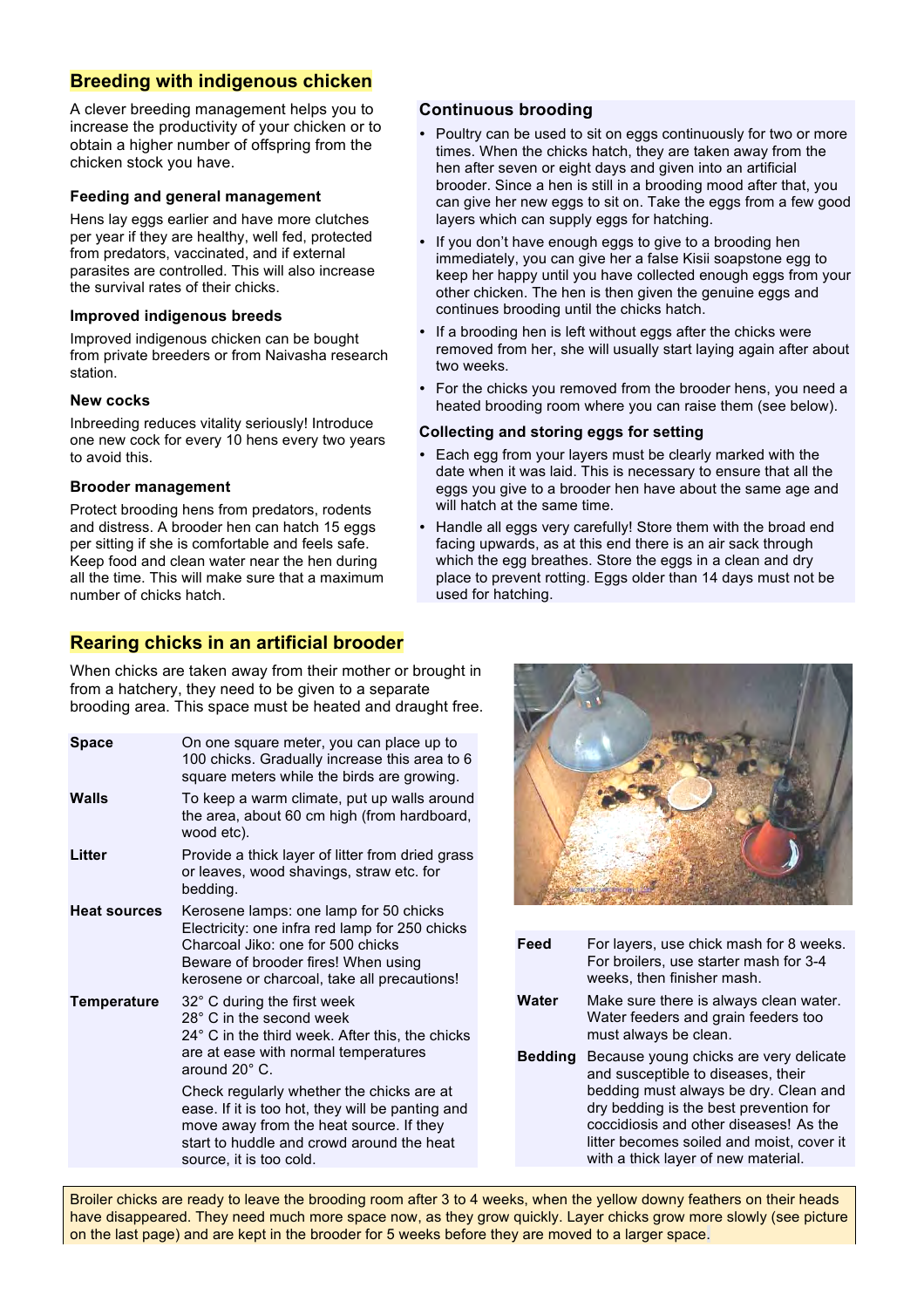#### **Breeding with indigenous chicken**

A clever breeding management helps you to increase the productivity of your chicken or to obtain a higher number of offspring from the chicken stock you have.

#### **Feeding and general management**

Hens lay eggs earlier and have more clutches per year if they are healthy, well fed, protected from predators, vaccinated, and if external parasites are controlled. This will also increase the survival rates of their chicks.

#### **Improved indigenous breeds**

Improved indigenous chicken can be bought from private breeders or from Naivasha research station.

#### **New cocks**

Inbreeding reduces vitality seriously! Introduce one new cock for every 10 hens every two years to avoid this.

#### **Brooder management**

Protect brooding hens from predators, rodents and distress. A brooder hen can hatch 15 eggs per sitting if she is comfortable and feels safe. Keep food and clean water near the hen during all the time. This will make sure that a maximum number of chicks hatch.

#### **Rearing chicks in an artificial brooder**

When chicks are taken away from their mother or brought in from a hatchery, they need to be given to a separate brooding area. This space must be heated and draught free.

**Space** On one square meter, you can place up to 100 chicks. Gradually increase this area to 6 square meters while the birds are growing. **Walls** To keep a warm climate, put up walls around the area, about 60 cm high (from hardboard, wood etc). **Litter** Provide a thick layer of litter from dried grass or leaves, wood shavings, straw etc. for bedding. **Heat sources** Kerosene lamps: one lamp for 50 chicks Electricity: one infra red lamp for 250 chicks Charcoal Jiko: one for 500 chicks Beware of brooder fires! When using kerosene or charcoal, take all precautions! **Temperature** 32° C during the first week 28° C in the second week 24° C in the third week. After this, the chicks are at ease with normal temperatures around 20° C. Check regularly whether the chicks are at ease. If it is too hot, they will be panting and move away from the heat source. If they start to huddle and crowd around the heat source, it is too cold.

- **Feed** For layers, use chick mash for 8 weeks. For broilers, use starter mash for 3-4 weeks, then finisher mash.
- **Water** Make sure there is always clean water. Water feeders and grain feeders too must always be clean.
- **Bedding** Because young chicks are very delicate and susceptible to diseases, their bedding must always be dry. Clean and dry bedding is the best prevention for coccidiosis and other diseases! As the litter becomes soiled and moist, cover it with a thick layer of new material.

Broiler chicks are ready to leave the brooding room after 3 to 4 weeks, when the yellow downy feathers on their heads have disappeared. They need much more space now, as they grow quickly. Layer chicks grow more slowly (see picture on the last page) and are kept in the brooder for 5 weeks before they are moved to a larger space.

**Continuous brooding**

two weeks.

• Poultry can be used to sit on eggs continuously for two or more times. When the chicks hatch, they are taken away from the hen after seven or eight days and given into an artificial brooder. Since a hen is still in a brooding mood after that, you can give her new eggs to sit on. Take the eggs from a few good

If you don't have enough eggs to give to a brooding hen immediately, you can give her a false Kisii soapstone egg to keep her happy until you have collected enough eggs from your other chicken. The hen is then given the genuine eggs and

If a brooding hen is left without eggs after the chicks were removed from her, she will usually start laying again after about

• For the chicks you removed from the brooder hens, you need a heated brooding room where you can raise them (see below).

• Each egg from your layers must be clearly marked with the date when it was laid. This is necessary to ensure that all the eggs you give to a brooder hen have about the same age and

• Handle all eggs very carefully! Store them with the broad end facing upwards, as at this end there is an air sack through which the egg breathes. Store the eggs in a clean and dry place to prevent rotting. Eggs older than 14 days must not be

layers which can supply eggs for hatching.

continues brooding until the chicks hatch.

**Collecting and storing eggs for setting** 

will hatch at the same time.

used for hatching.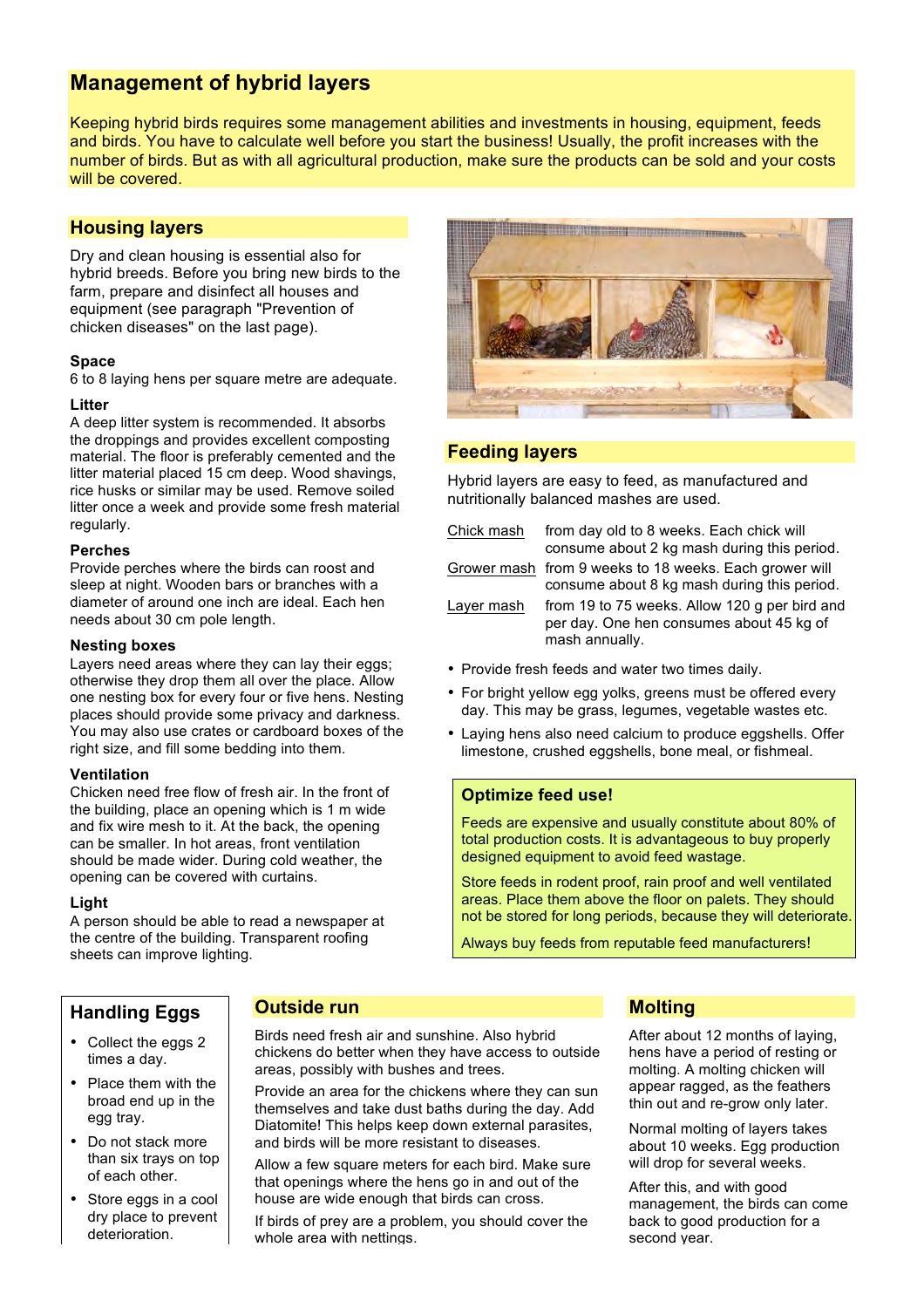### **Management of hybrid layers**

Keeping hybrid birds requires some management abilities and investments in housing, equipment, feeds and birds. You have to calculate well before you start the business! Usually, the profit increases with the number of birds. But as with all agricultural production, make sure the products can be sold and your costs will be covered.

### **Housing layers**

Dry and clean housing is essential also for hybrid breeds. Before you bring new birds to the farm, prepare and disinfect all houses and equipment (see paragraph "Prevention of chicken diseases" on the last page).

#### **Space**

6 to 8 laying hens per square metre are adequate.

#### **Litter**

A deep litter system is recommended. It absorbs the droppings and provides excellent composting material. The floor is preferably cemented and the litter material placed 15 cm deep. Wood shavings, rice husks or similar may be used. Remove soiled litter once a week and provide some fresh material regularly.

#### **Perches**

Provide perches where the birds can roost and sleep at night. Wooden bars or branches with a diameter of around one inch are ideal. Each hen needs about 30 cm pole length.

#### **Nesting boxes**

Layers need areas where they can lay their eggs: otherwise they drop them all over the place. Allow one nesting box for every four or five hens. Nesting places should provide some privacy and darkness. You may also use crates or cardboard boxes of the right size, and fill some bedding into them.

#### **Ventilation**

Chicken need free flow of fresh air. In the front of the building, place an opening which is 1 m wide and fix wire mesh to it. At the back, the opening can be smaller. In hot areas, front ventilation should be made wider. During cold weather, the opening can be covered with curtains.

#### **Light**

A person should be able to read a newspaper at the centre of the building. Transparent roofing sheets can improve lighting.



#### **Feeding layers**

Hybrid layers are easy to feed, as manufactured and nutritionally balanced mashes are used.

Chick mash from day old to 8 weeks. Each chick will consume about 2 kg mash during this period. Grower mash from 9 weeks to 18 weeks. Each grower will consume about 8 kg mash during this period.

Layer mash from 19 to 75 weeks. Allow 120 g per bird and per day. One hen consumes about 45 kg of mash annually.

- Provide fresh feeds and water two times daily.
- For bright yellow egg yolks, greens must be offered every day. This may be grass, legumes, vegetable wastes etc.
- Laying hens also need calcium to produce eggshells. Offer limestone, crushed eggshells, bone meal, or fishmeal.

#### **Optimize feed use!**

Feeds are expensive and usually constitute about 80% of total production costs. It is advantageous to buy properly designed equipment to avoid feed wastage.

Store feeds in rodent proof, rain proof and well ventilated areas. Place them above the floor on palets. They should not be stored for long periods, because they will deteriorate.

Always buy feeds from reputable feed manufacturers!

### **Handling Eggs**

## **Outside run**

Birds need fresh air and sunshine. Also hybrid chickens do better when they have access to outside areas, possibly with bushes and trees.

Provide an area for the chickens where they can sun themselves and take dust baths during the day. Add Diatomite! This helps keep down external parasites, and birds will be more resistant to diseases.

Allow a few square meters for each bird. Make sure that openings where the hens go in and out of the house are wide enough that birds can cross.

If birds of prey are a problem, you should cover the whole area with nettings.

### **Molting**

After about 12 months of laying, hens have a period of resting or molting. A molting chicken will appear ragged, as the feathers thin out and re-grow only later.

Normal molting of layers takes about 10 weeks. Egg production will drop for several weeks.

After this, and with good management, the birds can come back to good production for a second year.

- Collect the eggs 2 times a day.
- Place them with the broad end up in the egg tray.
- Do not stack more than six trays on top of each other.
- Store eggs in a cool dry place to prevent deterioration.